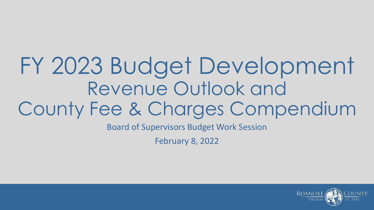# FY 2023 Budget Development Revenue Outlook and County Fee & Charges Compendium

Board of Supervisors Budget Work Session

February 8, 2022

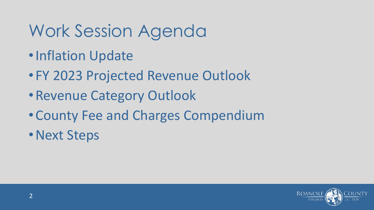## Work Session Agenda

- •Inflation Update
- FY 2023 Projected Revenue Outlook
- •Revenue Category Outlook
- •County Fee and Charges Compendium
- •Next Steps

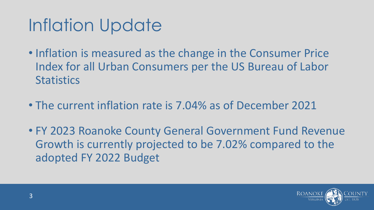# Inflation Update

- Inflation is measured as the change in the Consumer Price Index for all Urban Consumers per the US Bureau of Labor **Statistics**
- The current inflation rate is 7.04% as of December 2021
- FY 2023 Roanoke County General Government Fund Revenue Growth is currently projected to be 7.02% compared to the adopted FY 2022 Budget

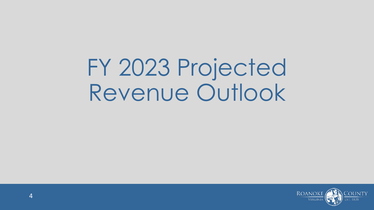FY 2023 Projected Revenue Outlook

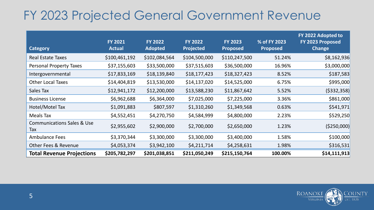#### FY 2023 Projected General Government Revenue

| <b>Category</b>                              | <b>FY 2021</b><br><b>Actual</b> | <b>FY 2022</b><br><b>Adopted</b> | <b>FY 2022</b><br><b>Projected</b> | <b>FY 2023</b><br><b>Proposed</b> | % of FY 2023<br><b>Proposed</b> | FY 2022 Adopted to<br>FY 2023 Proposed<br><b>Change</b> |
|----------------------------------------------|---------------------------------|----------------------------------|------------------------------------|-----------------------------------|---------------------------------|---------------------------------------------------------|
| <b>Real Estate Taxes</b>                     | \$100,461,192                   | \$102,084,564                    | \$104,500,000                      | \$110,247,500                     | 51.24%                          | \$8,162,936                                             |
| <b>Personal Property Taxes</b>               | \$37,155,603                    | \$33,500,000                     | \$37,515,603                       | \$36,500,000                      | 16.96%                          | \$3,000,000                                             |
| Intergovernmental                            | \$17,833,169                    | \$18,139,840                     | \$18,177,423                       | \$18,327,423                      | 8.52%                           | \$187,583                                               |
| <b>Other Local Taxes</b>                     | \$14,404,819                    | \$13,530,000                     | \$14,137,020                       | \$14,525,000                      | 6.75%                           | \$995,000                                               |
| Sales Tax                                    | \$12,941,172                    | \$12,200,000                     | \$13,588,230                       | \$11,867,642                      | 5.52%                           | ( \$332, 358)                                           |
| <b>Business License</b>                      | \$6,962,688                     | \$6,364,000                      | \$7,025,000                        | \$7,225,000                       | 3.36%                           | \$861,000                                               |
| Hotel/Motel Tax                              | \$1,091,883                     | \$807,597                        | \$1,310,260                        | \$1,349,568                       | 0.63%                           | \$541,971                                               |
| Meals Tax                                    | \$4,552,451                     | \$4,270,750                      | \$4,584,999                        | \$4,800,000                       | 2.23%                           | \$529,250                                               |
| <b>Communications Sales &amp; Use</b><br>Tax | \$2,955,602                     | \$2,900,000                      | \$2,700,000                        | \$2,650,000                       | 1.23%                           | ( \$250,000]                                            |
| <b>Ambulance Fees</b>                        | \$3,370,344                     | \$3,300,000                      | \$3,300,000                        | \$3,400,000                       | 1.58%                           | \$100,000                                               |
| <b>Other Fees &amp; Revenue</b>              | \$4,053,374                     | \$3,942,100                      | \$4,211,714                        | \$4,258,631                       | 1.98%                           | \$316,531                                               |
| <b>Total Revenue Projections</b>             | \$205,782,297                   | \$201,038,851                    | \$211,050,249                      | \$215,150,764                     | 100.00%                         | \$14,111,913                                            |

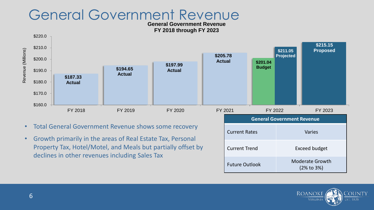#### General Government Revenue

**General Government Revenue FY 2018 through FY 2023**



- Total General Government Revenue shows some recovery
- Growth primarily in the areas of Real Estate Tax, Personal Property Tax, Hotel/Motel, and Meals but partially offset by declines in other revenues including Sales Tax

| FY 2022<br>:021                   | FY 2023                              |  |
|-----------------------------------|--------------------------------------|--|
| <b>General Government Revenue</b> |                                      |  |
| <b>Current Rates</b>              | <b>Varies</b>                        |  |
| <b>Current Trend</b>              | <b>Exceed budget</b>                 |  |
| <b>Future Outlook</b>             | <b>Moderate Growth</b><br>(2% to 3%) |  |

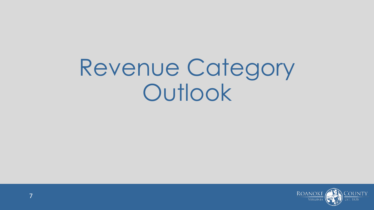Revenue Category **Outlook** 

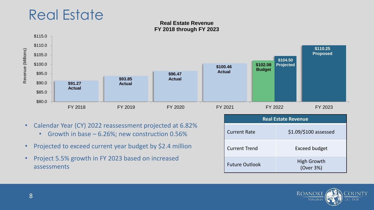

#### **Real Estate Revenue FY 2018 through FY 2023**



- Calendar Year (CY) 2022 reassessment projected at 6.82%
	- Growth in base 6.26%; new construction 0.56%
- Projected to exceed current year budget by \$2.4 million
- Project 5.5% growth in FY 2023 based on increased assessments

| <b>Real Estate Revenue</b> |                                 |  |
|----------------------------|---------------------------------|--|
| <b>Current Rate</b>        | $$1.09$ /\$100 assessed         |  |
| <b>Current Trend</b>       | <b>Exceed budget</b>            |  |
| <b>Future Outlook</b>      | <b>High Growth</b><br>(Over 3%) |  |

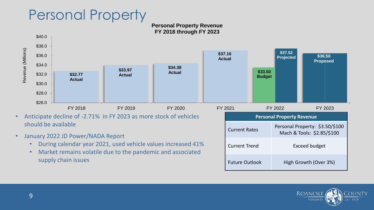### Personal Property

#### **Personal Property Revenue FY 2018 through FY 2023**



- Anticipate decline of -2.71% in FY 2023 as more stock of vehicles should be available
- January 2022 JD Power/NADA Report
	- During calendar year 2021, used vehicle values increased 41%
	- Market remains volatile due to the pandemic and associated supply chain issues

| 2021                  |  | FY 2022                                                       | FY 2023               |
|-----------------------|--|---------------------------------------------------------------|-----------------------|
|                       |  | <b>Personal Property Revenue</b>                              |                       |
| <b>Current Rates</b>  |  | Personal Property: \$3.50/\$100<br>Mach & Tools: \$2.85/\$100 |                       |
| <b>Current Trend</b>  |  | Exceed budget                                                 |                       |
| <b>Future Outlook</b> |  |                                                               | High Growth (Over 3%) |

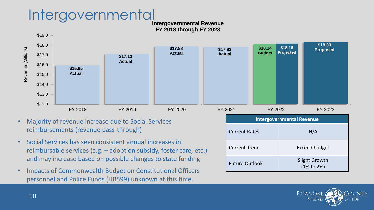### Intergovernmental

**Intergovernmental Revenue FY 2018 through FY 2023**



- Majority of revenue increase due to Social Services reimbursements (revenue pass-through)
- Social Services has seen consistent annual increases in reimbursable services (e.g. – adoption subsidy, foster care, etc.) and may increase based on possible changes to state funding
- Impacts of Commonwealth Budget on Constitutional Officers personnel and Police Funds (HB599) unknown at this time.

| <b>Intergovernmental Revenue</b> |                                          |  |
|----------------------------------|------------------------------------------|--|
| <b>Current Rates</b>             | N/A                                      |  |
| <b>Current Trend</b>             | <b>Exceed budget</b>                     |  |
| <b>Future Outlook</b>            | Slight Growth<br>$(1\% \text{ to } 2\%)$ |  |

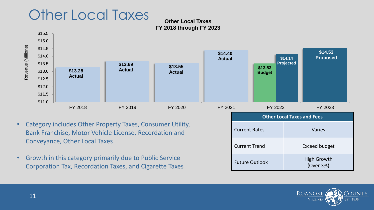### Other Local Taxes

#### **Other Local Taxes FY 2018 through FY 2023**



- Category includes Other Property Taxes, Consumer Utility, Bank Franchise, Motor Vehicle License, Recordation and Conveyance, Other Local Taxes
- Growth in this category primarily due to Public Service Corporation Tax, Recordation Taxes, and Cigarette Taxes

| <b>Other Local Taxes and Fees</b> |                                 |  |
|-----------------------------------|---------------------------------|--|
| <b>Current Rates</b>              | <b>Varies</b>                   |  |
| <b>Current Trend</b>              | Exceed budget                   |  |
| <b>Future Outlook</b>             | <b>High Growth</b><br>(Over 3%) |  |

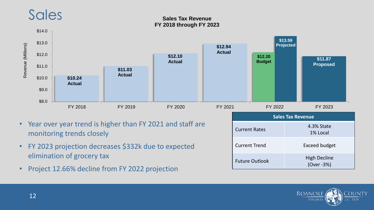### Sales

#### **Sales Tax Revenue FY 2018 through FY 2023**



- Year over year trend is higher than FY 2021 and staff are monitoring trends closely
- FY 2023 projection decreases \$332k due to expected elimination of grocery tax
- Project 12.66% decline from FY 2022 projection

| <b>Sales Tax Revenue</b> |                                   |  |
|--------------------------|-----------------------------------|--|
| <b>Current Rates</b>     | 4.3% State<br>1% Local            |  |
| <b>Current Trend</b>     | <b>Exceed budget</b>              |  |
| <b>Future Outlook</b>    | <b>High Decline</b><br>(Over -3%) |  |

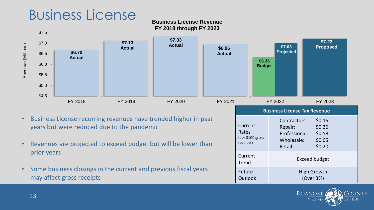### Business License

#### **Business License Revenue FY 2018 through FY 2023**



- Business License recurring revenues have trended higher in past years but were reduced due to the pandemic
- Revenues are projected to exceed budget but will be lower than prior years
- Some business closings in the current and previous fiscal years may affect gross receipts

| FY 2022                                           |                                                                   | FY 2023                                        |
|---------------------------------------------------|-------------------------------------------------------------------|------------------------------------------------|
| <b>Business License Tax Revenue</b>               |                                                                   |                                                |
| Current<br>Rates<br>(per \$100 gross<br>receipts) | Contractors:<br>Repair:<br>Professional:<br>Wholesale:<br>Retail: | \$0.16<br>\$0.36<br>\$0.58<br>\$0.05<br>\$0.20 |
| Current<br><b>Trend</b>                           | Exceed budget                                                     |                                                |
| Future<br><b>Outlook</b>                          | High Growth<br>(Over 3%)                                          |                                                |

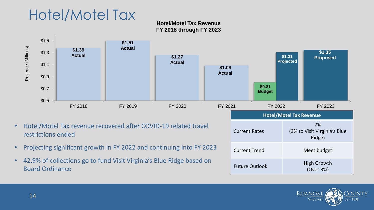### Hotel/Motel Tax

**Hotel/Motel Tax Revenue FY 2018 through FY 2023**



- Hotel/Motel Tax revenue recovered after COVID-19 related travel restrictions ended
- Projecting significant growth in FY 2022 and continuing into FY 2023
- 42.9% of collections go to fund Visit Virginia's Blue Ridge based on Board Ordinance

| )21<br>FY 2022                 | FY 2023                                      |  |
|--------------------------------|----------------------------------------------|--|
| <b>Hotel/Motel Tax Revenue</b> |                                              |  |
| <b>Current Rates</b>           | 7%<br>(3% to Visit Virginia's Blue<br>Ridge) |  |
| <b>Current Trend</b>           | Meet budget                                  |  |
| <b>Future Outlook</b>          | High Growth<br>(Over 3%)                     |  |

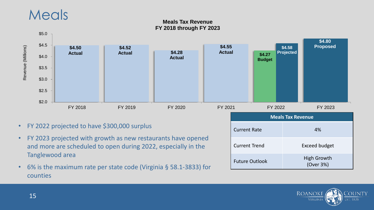### **Meals**

#### **Meals Tax Revenue FY 2018 through FY 2023**



- FY 2022 projected to have \$300,000 surplus
- FY 2023 projected with growth as new restaurants have opened and more are scheduled to open during 2022, especially in the Tanglewood area
- 6% is the maximum rate per state code (Virginia § 58.1-3833) for counties

| JLI<br>1 <i>L</i> ULL    | 1 1 <i>L</i> ULU                |  |
|--------------------------|---------------------------------|--|
| <b>Meals Tax Revenue</b> |                                 |  |
| <b>Current Rate</b>      | 4%                              |  |
| <b>Current Trend</b>     | <b>Exceed budget</b>            |  |
| <b>Future Outlook</b>    | <b>High Growth</b><br>(Over 3%) |  |

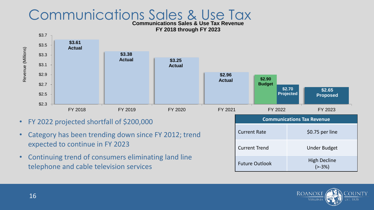#### Communications Sales & Use Tax

**Communications Sales & Use Tax Revenue FY 2018 through FY 2023**



- FY 2022 projected shortfall of \$200,000
- Category has been trending down since FY 2012; trend expected to continue in FY 2023
- Continuing trend of consumers eliminating land line telephone and cable television services

| FY 2022                           | FY 2023                        |  |
|-----------------------------------|--------------------------------|--|
| <b>Communications Tax Revenue</b> |                                |  |
| <b>Current Rate</b>               | \$0.75 per line                |  |
| <b>Current Trend</b>              | <b>Under Budget</b>            |  |
| <b>Future Outlook</b>             | <b>High Decline</b><br>$[-3%]$ |  |

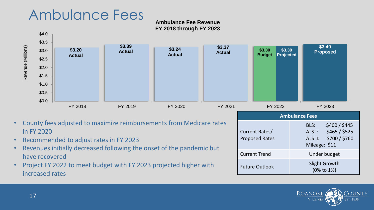#### Ambulance Fees

#### **Ambulance Fee Revenue FY 2018 through FY 2023**



- County fees adjusted to maximize reimbursements from Medicare rates in FY 2020
- Recommended to adjust rates in FY 2023
- Revenues initially decreased following the onset of the pandemic but have recovered
- Project FY 2022 to meet budget with FY 2023 projected higher with increased rates

| <b>Ambulance Fees</b>                   |                                                                                               |  |
|-----------------------------------------|-----------------------------------------------------------------------------------------------|--|
| Current Rates/<br><b>Proposed Rates</b> | \$400 / \$445<br>BLS:<br>\$465 / \$525<br>ALS I:<br>\$700 / \$760<br>ALS II:<br>Mileage: \$11 |  |
| <b>Current Trend</b>                    | Under budget                                                                                  |  |
| <b>Future Outlook</b>                   | Slight Growth<br>(0% to 1%)                                                                   |  |

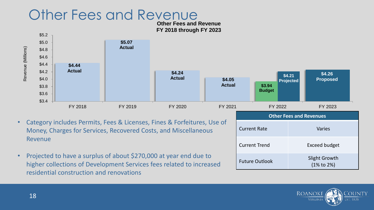### Other Fees and Revenue

**Other Fees and Revenue FY 2018 through FY 2023**



- Category includes Permits, Fees & Licenses, Fines & Forfeitures, Use of Money, Charges for Services, Recovered Costs, and Miscellaneous Revenue
- Projected to have a surplus of about \$270,000 at year end due to higher collections of Development Services fees related to increased residential construction and renovations

| <b>Other Fees and Revenues</b> |                                          |  |  |
|--------------------------------|------------------------------------------|--|--|
| <b>Current Rate</b>            | <b>Varies</b>                            |  |  |
| <b>Current Trend</b>           | Exceed budget                            |  |  |
| <b>Future Outlook</b>          | Slight Growth<br>$(1\% \text{ to } 2\%)$ |  |  |

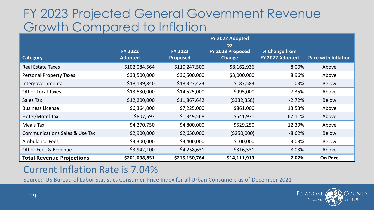#### FY 2023 Projected General Government Revenue Growth Compared to Inflation

|                                           |                                  |                                   | FY 2022 Adopted<br>to             |                                  |                            |
|-------------------------------------------|----------------------------------|-----------------------------------|-----------------------------------|----------------------------------|----------------------------|
| <b>Category</b>                           | <b>FY 2022</b><br><b>Adopted</b> | <b>FY 2023</b><br><b>Proposed</b> | FY 2023 Proposed<br><b>Change</b> | % Change from<br>FY 2022 Adopted | <b>Pace with Inflation</b> |
| <b>Real Estate Taxes</b>                  | \$102,084,564                    | \$110,247,500                     | \$8,162,936                       | 8.00%                            | Above                      |
| <b>Personal Property Taxes</b>            | \$33,500,000                     | \$36,500,000                      | \$3,000,000                       | 8.96%                            | Above                      |
| Intergovernmental                         | \$18,139,840                     | \$18,327,423                      | \$187,583                         | 1.03%                            | <b>Below</b>               |
| <b>Other Local Taxes</b>                  | \$13,530,000                     | \$14,525,000                      | \$995,000                         | 7.35%                            | Above                      |
| Sales Tax                                 | \$12,200,000                     | \$11,867,642                      | ( \$332, 358)                     | $-2.72%$                         | <b>Below</b>               |
| <b>Business License</b>                   | \$6,364,000                      | \$7,225,000                       | \$861,000                         | 13.53%                           | Above                      |
| Hotel/Motel Tax                           | \$807,597                        | \$1,349,568                       | \$541,971                         | 67.11%                           | Above                      |
| <b>Meals Tax</b>                          | \$4,270,750                      | \$4,800,000                       | \$529,250                         | 12.39%                           | Above                      |
| <b>Communications Sales &amp; Use Tax</b> | \$2,900,000                      | \$2,650,000                       | ( \$250,000)                      | $-8.62%$                         | <b>Below</b>               |
| <b>Ambulance Fees</b>                     | \$3,300,000                      | \$3,400,000                       | \$100,000                         | 3.03%                            | <b>Below</b>               |
| <b>Other Fees &amp; Revenue</b>           | \$3,942,100                      | \$4,258,631                       | \$316,531                         | 8.03%                            | Above                      |
| <b>Total Revenue Projections</b>          | \$201,038,851                    | \$215,150,764                     | \$14,111,913                      | 7.02%                            | <b>On Pace</b>             |

#### Current Inflation Rate is 7.04%

Source: US Bureau of Labor Statistics Consumer Price Index for all Urban Consumers as of December 2021

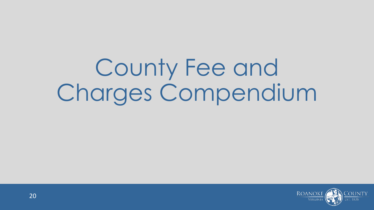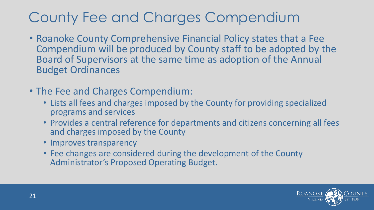- Roanoke County Comprehensive Financial Policy states that a Fee Compendium will be produced by County staff to be adopted by the Board of Supervisors at the same time as adoption of the Annual Budget Ordinances
- The Fee and Charges Compendium:
	- Lists all fees and charges imposed by the County for providing specialized programs and services
	- Provides a central reference for departments and citizens concerning all fees and charges imposed by the County
	- Improves transparency
	- Fee changes are considered during the development of the County Administrator's Proposed Operating Budget.

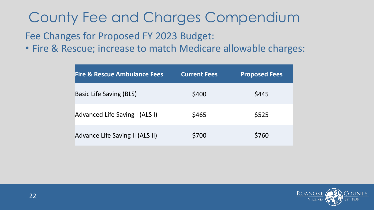Fee Changes for Proposed FY 2023 Budget:

• Fire & Rescue; increase to match Medicare allowable charges:

| <b>Fire &amp; Rescue Ambulance Fees</b> | <b>Current Fees</b> | <b>Proposed Fees</b> |
|-----------------------------------------|---------------------|----------------------|
| <b>Basic Life Saving (BLS)</b>          | \$400               | \$445                |
| Advanced Life Saving I (ALS I)          | \$465               | \$525                |
| Advance Life Saving II (ALS II)         | \$700               | \$760                |

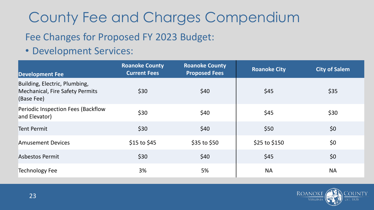#### Fee Changes for Proposed FY 2023 Budget:

• Development Services:

| <b>Development Fee</b>                                                                | <b>Roanoke County</b><br><b>Current Fees</b> | <b>Roanoke County</b><br><b>Proposed Fees</b> | <b>Roanoke City</b> | <b>City of Salem</b> |
|---------------------------------------------------------------------------------------|----------------------------------------------|-----------------------------------------------|---------------------|----------------------|
| Building, Electric, Plumbing,<br><b>Mechanical, Fire Safety Permits</b><br>(Base Fee) | \$30                                         | \$40                                          | \$45                | \$35                 |
| Periodic Inspection Fees (Backflow<br>and Elevator)                                   | \$30                                         | \$40                                          | \$45                | \$30                 |
| <b>Tent Permit</b>                                                                    | \$30                                         | \$40                                          | \$50                | \$0                  |
| <b>Amusement Devices</b>                                                              | \$15 to \$45                                 | $$35$ to $$50$                                | \$25 to \$150       | \$0                  |
| <b>Asbestos Permit</b>                                                                | \$30                                         | \$40                                          | \$45                | \$0                  |
| <b>Technology Fee</b>                                                                 | 3%                                           | 5%                                            | <b>NA</b>           | <b>NA</b>            |

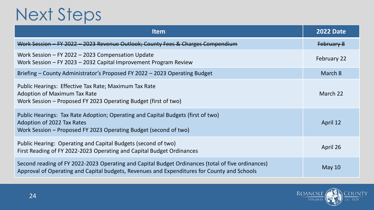## Next Steps

| <b>Item</b>                                                                                                                                                                                      | <b>2022 Date</b>  |
|--------------------------------------------------------------------------------------------------------------------------------------------------------------------------------------------------|-------------------|
| Work Session - FY 2022 - 2023 Revenue Outlook; County Fees & Charges Compendium                                                                                                                  | <b>February 8</b> |
| Work Session $-$ FY 2022 $-$ 2023 Compensation Update<br>Work Session - FY 2023 - 2032 Capital Improvement Program Review                                                                        | February 22       |
| Briefing – County Administrator's Proposed FY 2022 – 2023 Operating Budget                                                                                                                       | March 8           |
| Public Hearings: Effective Tax Rate; Maximum Tax Rate<br><b>Adoption of Maximum Tax Rate</b><br>Work Session – Proposed FY 2023 Operating Budget (first of two)                                  | March 22          |
| Public Hearings: Tax Rate Adoption; Operating and Capital Budgets (first of two)<br>Adoption of 2022 Tax Rates<br>Work Session – Proposed FY 2023 Operating Budget (second of two)               | April 12          |
| Public Hearing: Operating and Capital Budgets (second of two)<br>First Reading of FY 2022-2023 Operating and Capital Budget Ordinances                                                           | April 26          |
| Second reading of FY 2022-2023 Operating and Capital Budget Ordinances (total of five ordinances)<br>Approval of Operating and Capital budgets, Revenues and Expenditures for County and Schools | May $10$          |